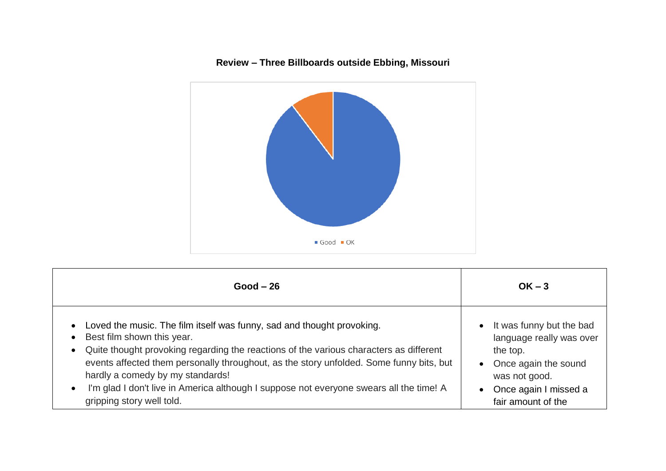

## **Review – Three Billboards outside Ebbing, Missouri**

| $Good - 26$                                                                                                                                                                                                                                                                                                                                                                                                                                                                                               | $OK - 3$                                                                                                                                                                             |
|-----------------------------------------------------------------------------------------------------------------------------------------------------------------------------------------------------------------------------------------------------------------------------------------------------------------------------------------------------------------------------------------------------------------------------------------------------------------------------------------------------------|--------------------------------------------------------------------------------------------------------------------------------------------------------------------------------------|
| Loved the music. The film itself was funny, sad and thought provoking.<br>$\bullet$<br>Best film shown this year.<br>$\bullet$<br>Quite thought provoking regarding the reactions of the various characters as different<br>$\bullet$<br>events affected them personally throughout, as the story unfolded. Some funny bits, but<br>hardly a comedy by my standards!<br>I'm glad I don't live in America although I suppose not everyone swears all the time! A<br>$\bullet$<br>gripping story well told. | It was funny but the bad<br>$\bullet$<br>language really was over<br>the top.<br>• Once again the sound<br>was not good.<br>Once again I missed a<br>$\bullet$<br>fair amount of the |